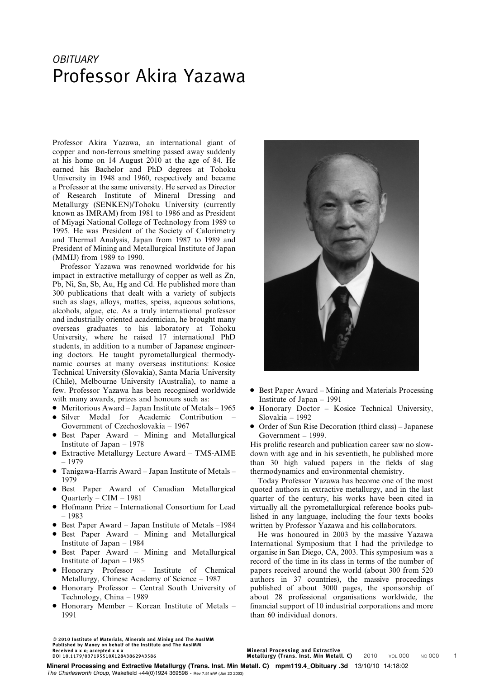## **OBITUARY** Professor Akira Yazawa

Professor Akira Yazawa, an international giant of copper and non-ferrous smelting passed away suddenly at his home on 14 August 2010 at the age of 84. He earned his Bachelor and PhD degrees at Tohoku University in 1948 and 1960, respectively and became a Professor at the same university. He served as Director of Research Institute of Mineral Dressing and Metallurgy (SENKEN)/Tohoku University (currently known as IMRAM) from 1981 to 1986 and as President of Miyagi National College of Technology from 1989 to 1995. He was President of the Society of Calorimetry and Thermal Analysis, Japan from 1987 to 1989 and President of Mining and Metallurgical Institute of Japan (MMIJ) from 1989 to 1990.

Professor Yazawa was renowned worldwide for his impact in extractive metallurgy of copper as well as Zn, Pb, Ni, Sn, Sb, Au, Hg and Cd. He published more than 300 publications that dealt with a variety of subjects such as slags, alloys, mattes, speiss, aqueous solutions, alcohols, algae, etc. As a truly international professor and industrially oriented academician, he brought many overseas graduates to his laboratory at Tohoku University, where he raised 17 international PhD students, in addition to a number of Japanese engineering doctors. He taught pyrometallurgical thermodynamic courses at many overseas institutions: Kosice Technical University (Slovakia), Santa Maria University (Chile), Melbourne University (Australia), to name a few. Professor Yazawa has been recognised worldwide with many awards, prizes and honours such as:

- Meritorious Award Japan Institute of Metals 1965
- Silver Medal for Academic Contribution Government of Czechoslovakia – 1967
- Best Paper Award Mining and Metallurgical Institute of Japan – 1978
- Extractive Metallurgy Lecture Award TMS-AIME – 1979
- $\bullet$  Tanigawa-Harris Award Japan Institute of Metals 1979
- N Best Paper Award of Canadian Metallurgical Quarterly – CIM – 1981
- Hofmann Prize International Consortium for Lead – 1983
- Best Paper Award Japan Institute of Metals –1984
- Best Paper Award Mining and Metallurgical Institute of Japan – 1984
- Best Paper Award Mining and Metallurgical Institute of Japan – 1985
- N Honorary Professor Institute of Chemical Metallurgy, Chinese Academy of Science – 1987
- Honorary Professor Central South University of Technology, China – 1989
- $\bullet$  Honorary Member Korean Institute of Metals 1991

 $@$  2010 Institute of Materials, Minerals and Mining and The AusIMM Published by Maney on behalf of the Institute and The AusIMM Received x x x; accepted x x x DOI 10.1179/037195510X12843862943586



- $\bullet$  Best Paper Award Mining and Materials Processing Institute of Japan – 1991
- Honorary Doctor Kosice Technical University, Slovakia – 1992
- Order of Sun Rise Decoration (third class) Japanese Government – 1999.

His prolific research and publication career saw no slowdown with age and in his seventieth, he published more than 30 high valued papers in the fields of slag thermodynamics and environmental chemistry.

Today Professor Yazawa has become one of the most quoted authors in extractive metallurgy, and in the last quarter of the century, his works have been cited in virtually all the pyrometallurgical reference books published in any language, including the four texts books written by Professor Yazawa and his collaborators.

He was honoured in 2003 by the massive Yazawa International Symposium that I had the priviledge to organise in San Diego, CA, 2003. This symposium was a record of the time in its class in terms of the number of papers received around the world (about 300 from 520 authors in 37 countries), the massive proceedings published of about 3000 pages, the sponsorship of about 28 professional organisations worldwide, the financial support of 10 industrial corporations and more than 60 individual donors.

Mineral Processing and Extractive

Minchart Frocessing and Extractive<br>Metallurgy (Trans. Inst. Min Metall. C) 2010 VOL 000 NO 000 1

Mineral Processing and Extractive Metallurgy (Trans. Inst. Min Metall. C) mpm119.4\_Obituary .3d 13/10/10 14:18:02 The Charlesworth Group, Wakefield +44(0)1924 369598 - Rev 7.51n/W (Jan 20 2003)